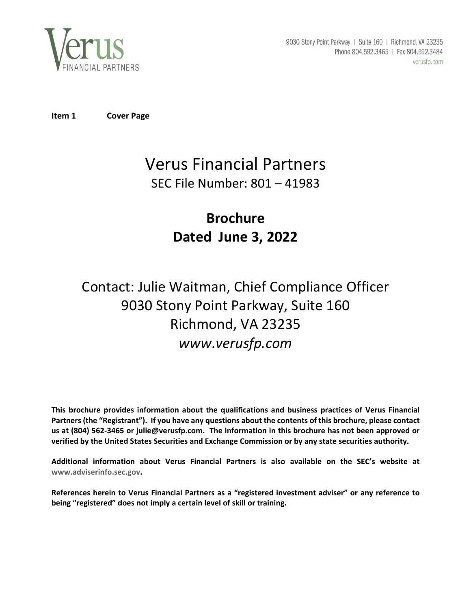

9030 Stony Point Parkway | Suite 160 | Richmond, VA 23235 Phone 804.592.3465 | Fax 804.592.3484 verusfp.com

**Item 1 Cover Page**

# Verus Financial Partners SEC File Number: 801 – 41983

# **Brochure Dated June 3, 2022**

# Contact: Julie Waitman, Chief Compliance Officer 9030 Stony Point Parkway, Suite 160 Richmond, VA 23235 *www.verusfp.com*

**This brochure provides information about the qualifications and business practices of Verus Financial** Partners (the "Registrant"). If you have any questions about the contents of this brochure, please contact us at (804) 562-3465 or julie@verusfp.com. The information in this brochure has not been approved or **verified by the United States Securities and Exchange Commission or by any state securities authority.**

**Additional information about Verus Financial Partners is also available on the SEC's website at www.adviserinfo.sec.gov.**

**References herein to Verus Financial Partners as a "registered investment adviser" or any reference to being "registered" does not imply a certain level of skill or training.**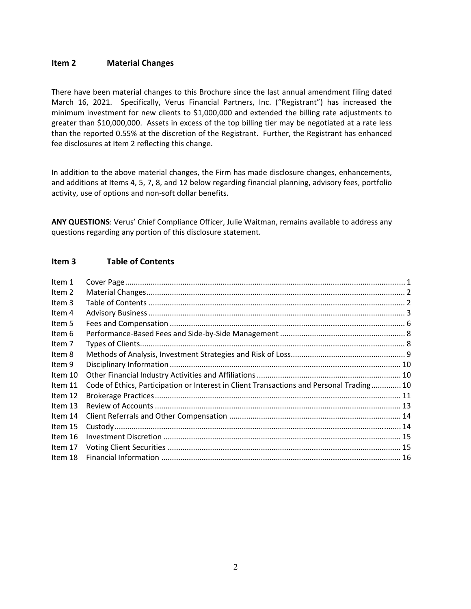# **Item 2 Material Changes**

There have been material changes to this Brochure since the last annual amendment filing dated March 16, 2021. Specifically, Verus Financial Partners, Inc. ("Registrant") has increased the minimum investment for new clients to \$1,000,000 and extended the billing rate adjustments to greater than \$10,000,000. Assets in excess of the top billing tier may be negotiated at a rate less than the reported 0.55% at the discretion of the Registrant. Further, the Registrant has enhanced fee disclosures at Item 2 reflecting this change.

In addition to the above material changes, the Firm has made disclosure changes, enhancements, and additions at Items 4, 5, 7, 8, and 12 below regarding financial planning, advisory fees, portfolio activity, use of options and non‐soft dollar benefits.

**ANY QUESTIONS**: Verus' Chief Compliance Officer, Julie Waitman, remains available to address any questions regarding any portion of this disclosure statement.

# **Item 3 Table of Contents**

| Item 1  |                                                                                          |  |
|---------|------------------------------------------------------------------------------------------|--|
| Item 2  |                                                                                          |  |
| Item 3  |                                                                                          |  |
| Item 4  |                                                                                          |  |
| Item 5  |                                                                                          |  |
| Item 6  |                                                                                          |  |
| Item 7  |                                                                                          |  |
| Item 8  |                                                                                          |  |
| Item 9  |                                                                                          |  |
| Item 10 |                                                                                          |  |
| Item 11 | Code of Ethics, Participation or Interest in Client Transactions and Personal Trading 10 |  |
| Item 12 |                                                                                          |  |
| Item 13 |                                                                                          |  |
| Item 14 |                                                                                          |  |
| Item 15 |                                                                                          |  |
| Item 16 |                                                                                          |  |
| Item 17 |                                                                                          |  |
| Item 18 |                                                                                          |  |
|         |                                                                                          |  |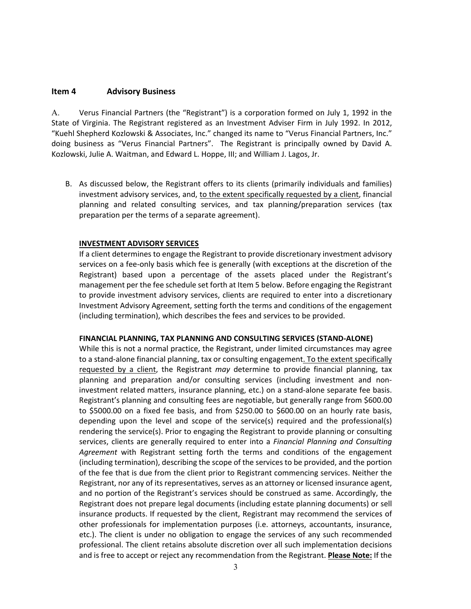# **Item 4 Advisory Business**

A. Verus Financial Partners (the "Registrant") is a corporation formed on July 1, 1992 in the State of Virginia. The Registrant registered as an Investment Adviser Firm in July 1992. In 2012, "Kuehl Shepherd Kozlowski & Associates, Inc." changed its name to "Verus Financial Partners, Inc." doing business as "Verus Financial Partners". The Registrant is principally owned by David A. Kozlowski, Julie A. Waitman, and Edward L. Hoppe, III; and William J. Lagos, Jr.

B. As discussed below, the Registrant offers to its clients (primarily individuals and families) investment advisory services, and, to the extent specifically requested by a client, financial planning and related consulting services, and tax planning/preparation services (tax preparation per the terms of a separate agreement).

## **INVESTMENT ADVISORY SERVICES**

If a client determines to engage the Registrant to provide discretionary investment advisory services on a fee‐only basis which fee is generally (with exceptions at the discretion of the Registrant) based upon a percentage of the assets placed under the Registrant's management per the fee schedule set forth at Item 5 below. Before engaging the Registrant to provide investment advisory services, clients are required to enter into a discretionary Investment Advisory Agreement, setting forth the terms and conditions of the engagement (including termination), which describes the fees and services to be provided.

#### **FINANCIAL PLANNING, TAX PLANNING AND CONSULTING SERVICES (STAND‐ALONE)**

While this is not a normal practice, the Registrant, under limited circumstances may agree to a stand‐alone financial planning, tax or consulting engagement. To the extent specifically requested by a client, the Registrant *may* determine to provide financial planning, tax planning and preparation and/or consulting services (including investment and non‐ investment related matters, insurance planning, etc.) on a stand-alone separate fee basis. Registrant's planning and consulting fees are negotiable, but generally range from \$600.00 to \$5000.00 on a fixed fee basis, and from \$250.00 to \$600.00 on an hourly rate basis, depending upon the level and scope of the service(s) required and the professional(s) rendering the service(s). Prior to engaging the Registrant to provide planning or consulting services, clients are generally required to enter into a *Financial Planning and Consulting Agreement* with Registrant setting forth the terms and conditions of the engagement (including termination), describing the scope of the services to be provided, and the portion of the fee that is due from the client prior to Registrant commencing services. Neither the Registrant, nor any of its representatives, serves as an attorney or licensed insurance agent, and no portion of the Registrant's services should be construed as same. Accordingly, the Registrant does not prepare legal documents (including estate planning documents) or sell insurance products. If requested by the client, Registrant may recommend the services of other professionals for implementation purposes (i.e. attorneys, accountants, insurance, etc.). The client is under no obligation to engage the services of any such recommended professional. The client retains absolute discretion over all such implementation decisions and is free to accept or reject any recommendation from the Registrant. **Please Note:** If the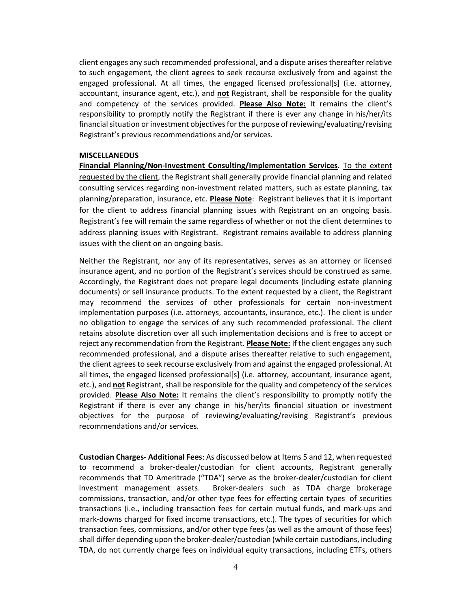client engages any such recommended professional, and a dispute arises thereafter relative to such engagement, the client agrees to seek recourse exclusively from and against the engaged professional. At all times, the engaged licensed professional[s] (i.e. attorney, accountant, insurance agent, etc.), and **not** Registrant, shall be responsible for the quality and competency of the services provided. **Please Also Note:** It remains the client's responsibility to promptly notify the Registrant if there is ever any change in his/her/its financial situation or investment objectives for the purpose of reviewing/evaluating/revising Registrant's previous recommendations and/or services.

#### **MISCELLANEOUS**

**Financial Planning/Non‐Investment Consulting/Implementation Services**. To the extent requested by the client, the Registrant shall generally provide financial planning and related consulting services regarding non‐investment related matters, such as estate planning, tax planning/preparation, insurance, etc. **Please Note**: Registrant believes that it is important for the client to address financial planning issues with Registrant on an ongoing basis. Registrant's fee will remain the same regardless of whether or not the client determines to address planning issues with Registrant. Registrant remains available to address planning issues with the client on an ongoing basis.

Neither the Registrant, nor any of its representatives, serves as an attorney or licensed insurance agent, and no portion of the Registrant's services should be construed as same. Accordingly, the Registrant does not prepare legal documents (including estate planning documents) or sell insurance products. To the extent requested by a client, the Registrant may recommend the services of other professionals for certain non‐investment implementation purposes (i.e. attorneys, accountants, insurance, etc.). The client is under no obligation to engage the services of any such recommended professional. The client retains absolute discretion over all such implementation decisions and is free to accept or reject any recommendation from the Registrant. **Please Note:** If the client engages any such recommended professional, and a dispute arises thereafter relative to such engagement, the client agrees to seek recourse exclusively from and against the engaged professional. At all times, the engaged licensed professional[s] (i.e. attorney, accountant, insurance agent, etc.), and **not** Registrant, shall be responsible for the quality and competency of the services provided. **Please Also Note:** It remains the client's responsibility to promptly notify the Registrant if there is ever any change in his/her/its financial situation or investment objectives for the purpose of reviewing/evaluating/revising Registrant's previous recommendations and/or services.

**Custodian Charges‐ Additional Fees**: As discussed below at Items 5 and 12, when requested to recommend a broker-dealer/custodian for client accounts, Registrant generally recommends that TD Ameritrade ("TDA") serve as the broker‐dealer/custodian for client investment management assets. Broker-dealers such as TDA charge brokerage commissions, transaction, and/or other type fees for effecting certain types of securities transactions (i.e., including transaction fees for certain mutual funds, and mark‐ups and mark-downs charged for fixed income transactions, etc.). The types of securities for which transaction fees, commissions, and/or other type fees (as well as the amount of those fees) shall differ depending upon the broker‐dealer/custodian (while certain custodians, including TDA, do not currently charge fees on individual equity transactions, including ETFs, others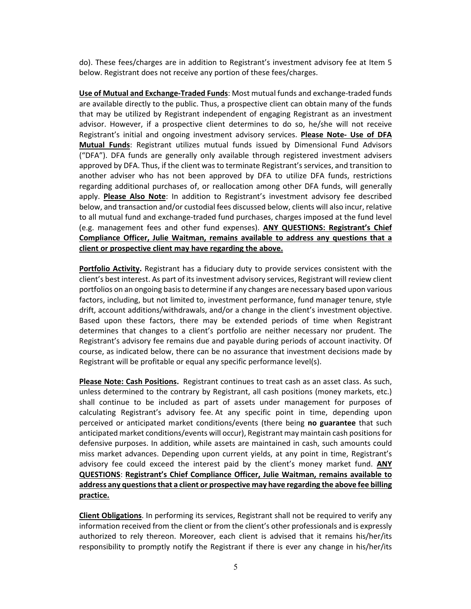do). These fees/charges are in addition to Registrant's investment advisory fee at Item 5 below. Registrant does not receive any portion of these fees/charges.

**Use of Mutual and Exchange‐Traded Funds**: Most mutual funds and exchange‐traded funds are available directly to the public. Thus, a prospective client can obtain many of the funds that may be utilized by Registrant independent of engaging Registrant as an investment advisor. However, if a prospective client determines to do so, he/she will not receive Registrant's initial and ongoing investment advisory services. **Please Note‐ Use of DFA Mutual Funds**: Registrant utilizes mutual funds issued by Dimensional Fund Advisors ("DFA"). DFA funds are generally only available through registered investment advisers approved by DFA. Thus, if the client was to terminate Registrant's services, and transition to another adviser who has not been approved by DFA to utilize DFA funds, restrictions regarding additional purchases of, or reallocation among other DFA funds, will generally apply. **Please Also Note**: In addition to Registrant's investment advisory fee described below, and transaction and/or custodial fees discussed below, clients will also incur, relative to all mutual fund and exchange‐traded fund purchases, charges imposed at the fund level (e.g. management fees and other fund expenses). **ANY QUESTIONS: Registrant's Chief Compliance Officer, Julie Waitman, remains available to address any questions that a client or prospective client may have regarding the above.**

**Portfolio Activity.** Registrant has a fiduciary duty to provide services consistent with the client's best interest. As part of itsinvestment advisory services, Registrant will review client portfolios on an ongoing basisto determine if any changes are necessary based upon various factors, including, but not limited to, investment performance, fund manager tenure, style drift, account additions/withdrawals, and/or a change in the client's investment objective. Based upon these factors, there may be extended periods of time when Registrant determines that changes to a client's portfolio are neither necessary nor prudent. The Registrant's advisory fee remains due and payable during periods of account inactivity. Of course, as indicated below, there can be no assurance that investment decisions made by Registrant will be profitable or equal any specific performance level(s).

**Please Note: Cash Positions.** Registrant continues to treat cash as an asset class. As such, unless determined to the contrary by Registrant, all cash positions (money markets, etc.) shall continue to be included as part of assets under management for purposes of calculating Registrant's advisory fee. At any specific point in time, depending upon perceived or anticipated market conditions/events (there being **no guarantee** that such anticipated market conditions/events will occur), Registrant may maintain cash positionsfor defensive purposes. In addition, while assets are maintained in cash, such amounts could miss market advances. Depending upon current yields, at any point in time, Registrant's advisory fee could exceed the interest paid by the client's money market fund. **ANY QUESTIONS**: **Registrant's Chief Compliance Officer, Julie Waitman, remains available to address any questionsthat a client or prospective may have regarding the above fee billing practice.**

**Client Obligations**. In performing its services, Registrant shall not be required to verify any information received from the client or from the client's other professionals and is expressly authorized to rely thereon. Moreover, each client is advised that it remains his/her/its responsibility to promptly notify the Registrant if there is ever any change in his/her/its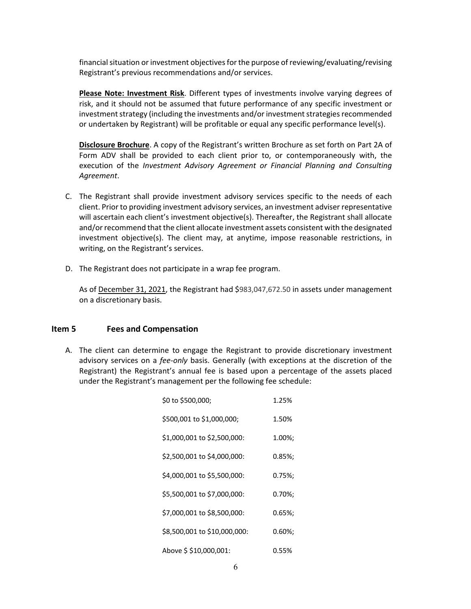financial situation or investment objectives for the purpose of reviewing/evaluating/revising Registrant's previous recommendations and/or services.

**Please Note: Investment Risk**. Different types of investments involve varying degrees of risk, and it should not be assumed that future performance of any specific investment or investment strategy (including the investments and/or investment strategies recommended or undertaken by Registrant) will be profitable or equal any specific performance level(s).

**Disclosure Brochure**. A copy of the Registrant's written Brochure as set forth on Part 2A of Form ADV shall be provided to each client prior to, or contemporaneously with, the execution of the *Investment Advisory Agreement or Financial Planning and Consulting Agreement*.

- C. The Registrant shall provide investment advisory services specific to the needs of each client. Prior to providing investment advisory services, an investment adviser representative will ascertain each client's investment objective(s). Thereafter, the Registrant shall allocate and/or recommend that the client allocate investment assets consistent with the designated investment objective(s). The client may, at anytime, impose reasonable restrictions, in writing, on the Registrant's services.
- D. The Registrant does not participate in a wrap fee program.

As of December 31, 2021, the Registrant had \$983,047,672.50 in assets under management on a discretionary basis.

# **Item 5 Fees and Compensation**

A. The client can determine to engage the Registrant to provide discretionary investment advisory services on a *fee‐only* basis. Generally (with exceptions at the discretion of the Registrant) the Registrant's annual fee is based upon a percentage of the assets placed under the Registrant's management per the following fee schedule:

| \$0 to \$500,000;            | 1.25%      |
|------------------------------|------------|
| \$500,001 to \$1,000,000;    | 1.50%      |
| \$1,000,001 to \$2,500,000:  | 1.00%;     |
| \$2,500,001 to \$4,000,000:  | $0.85\%$ ; |
| \$4,000,001 to \$5,500,000:  | 0.75%;     |
| \$5,500,001 to \$7,000,000:  | $0.70\%$ ; |
| \$7,000,001 to \$8,500,000:  | 0.65%;     |
| \$8,500,001 to \$10,000,000: | 0.60%;     |
| Above \$ \$10,000,001:       | 0.55%      |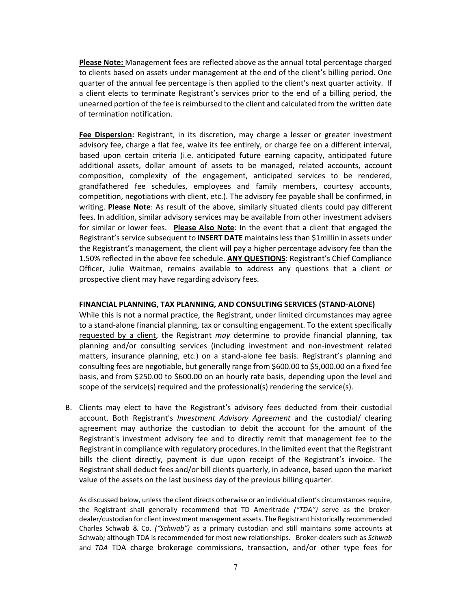**Please Note:** Management fees are reflected above as the annual total percentage charged to clients based on assets under management at the end of the client's billing period. One quarter of the annual fee percentage is then applied to the client's next quarter activity. If a client elects to terminate Registrant's services prior to the end of a billing period, the unearned portion of the fee is reimbursed to the client and calculated from the written date of termination notification.

**Fee Dispersion:** Registrant, in its discretion, may charge a lesser or greater investment advisory fee, charge a flat fee, waive its fee entirely, or charge fee on a different interval, based upon certain criteria (i.e. anticipated future earning capacity, anticipated future additional assets, dollar amount of assets to be managed, related accounts, account composition, complexity of the engagement, anticipated services to be rendered, grandfathered fee schedules, employees and family members, courtesy accounts, competition, negotiations with client, etc.). The advisory fee payable shall be confirmed, in writing. **Please Note**: As result of the above, similarly situated clients could pay different fees. In addition, similar advisory services may be available from other investment advisers for similar or lower fees. **Please Also Note**: In the event that a client that engaged the Registrant'sservice subsequent to **INSERT DATE** maintainslessthan \$1millin in assets under the Registrant's management, the client will pay a higher percentage advisory fee than the 1.50% reflected in the above fee schedule. **ANY QUESTIONS**: Registrant's Chief Compliance Officer, Julie Waitman, remains available to address any questions that a client or prospective client may have regarding advisory fees.

#### **FINANCIAL PLANNING, TAX PLANNING, AND CONSULTING SERVICES (STAND‐ALONE)**

While this is not a normal practice, the Registrant, under limited circumstances may agree to a stand‐alone financial planning, tax or consulting engagement. To the extent specifically requested by a client, the Registrant *may* determine to provide financial planning, tax planning and/or consulting services (including investment and non‐investment related matters, insurance planning, etc.) on a stand‐alone fee basis. Registrant's planning and consulting fees are negotiable, but generally range from \$600.00 to \$5,000.00 on a fixed fee basis, and from \$250.00 to \$600.00 on an hourly rate basis, depending upon the level and scope of the service(s) required and the professional(s) rendering the service(s).

B. Clients may elect to have the Registrant's advisory fees deducted from their custodial account. Both Registrant's *Investment Advisory Agreement* and the custodial/ clearing agreement may authorize the custodian to debit the account for the amount of the Registrant's investment advisory fee and to directly remit that management fee to the Registrant in compliance with regulatory procedures. In the limited event that the Registrant bills the client directly, payment is due upon receipt of the Registrant's invoice. The Registrant shall deduct fees and/or bill clients quarterly, in advance, based upon the market value of the assets on the last business day of the previous billing quarter.

As discussed below, unless the client directs otherwise or an individual client's circumstances require, the Registrant shall generally recommend that TD Ameritrade *("TDA")* serve as the broker‐ dealer/custodian for client investment management assets. The Registrant historically recommended Charles Schwab & Co. *("Schwab")* as a primary custodian and still maintains some accounts at Schwab*;* although TDA is recommended for most new relationships. Broker‐dealers such as *Schwab* and *TDA* TDA charge brokerage commissions, transaction, and/or other type fees for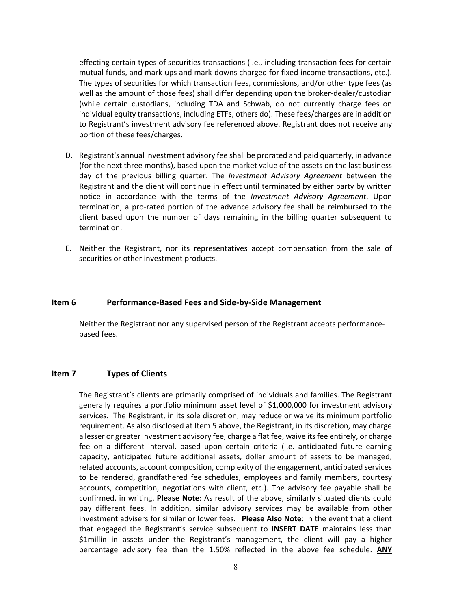effecting certain types of securities transactions (i.e., including transaction fees for certain mutual funds, and mark‐ups and mark‐downs charged for fixed income transactions, etc.). The types of securities for which transaction fees, commissions, and/or other type fees (as well as the amount of those fees) shall differ depending upon the broker-dealer/custodian (while certain custodians, including TDA and Schwab, do not currently charge fees on individual equity transactions, including ETFs, others do). These fees/charges are in addition to Registrant's investment advisory fee referenced above. Registrant does not receive any portion of these fees/charges.

- D. Registrant's annual investment advisory fee shall be prorated and paid quarterly, in advance (for the next three months), based upon the market value of the assets on the last business day of the previous billing quarter. The *Investment Advisory Agreement* between the Registrant and the client will continue in effect until terminated by either party by written notice in accordance with the terms of the *Investment Advisory Agreement*. Upon termination, a pro‐rated portion of the advance advisory fee shall be reimbursed to the client based upon the number of days remaining in the billing quarter subsequent to termination.
- E. Neither the Registrant, nor its representatives accept compensation from the sale of securities or other investment products.

#### **Item 6 Performance‐Based Fees and Side‐by‐Side Management**

Neither the Registrant nor any supervised person of the Registrant accepts performance‐ based fees.

#### **Item 7 Types of Clients**

The Registrant's clients are primarily comprised of individuals and families. The Registrant generally requires a portfolio minimum asset level of \$1,000,000 for investment advisory services. The Registrant, in its sole discretion, may reduce or waive its minimum portfolio requirement. As also disclosed at Item 5 above, the Registrant, in its discretion, may charge a lesser or greater investment advisory fee, charge a flat fee, waive its fee entirely, or charge fee on a different interval, based upon certain criteria (i.e. anticipated future earning capacity, anticipated future additional assets, dollar amount of assets to be managed, related accounts, account composition, complexity of the engagement, anticipated services to be rendered, grandfathered fee schedules, employees and family members, courtesy accounts, competition, negotiations with client, etc.). The advisory fee payable shall be confirmed, in writing. **Please Note**: As result of the above, similarly situated clients could pay different fees. In addition, similar advisory services may be available from other investment advisers for similar or lower fees. **Please Also Note**: In the event that a client that engaged the Registrant's service subsequent to **INSERT DATE** maintains less than \$1millin in assets under the Registrant's management, the client will pay a higher percentage advisory fee than the 1.50% reflected in the above fee schedule. **ANY**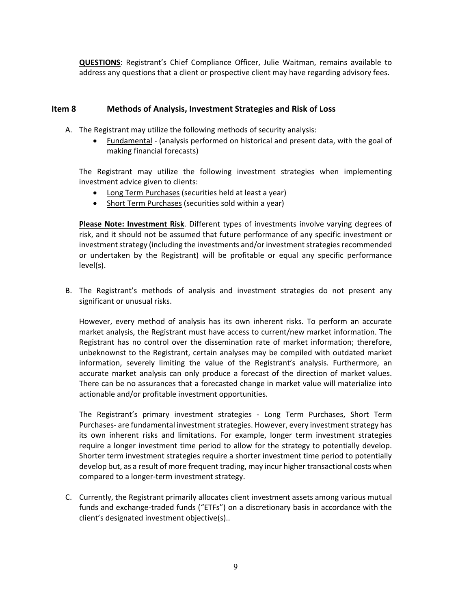**QUESTIONS**: Registrant's Chief Compliance Officer, Julie Waitman, remains available to address any questions that a client or prospective client may have regarding advisory fees.

# **Item 8 Methods of Analysis, Investment Strategies and Risk of Loss**

- A. The Registrant may utilize the following methods of security analysis:
	- Fundamental ‐ (analysis performed on historical and present data, with the goal of making financial forecasts)

The Registrant may utilize the following investment strategies when implementing investment advice given to clients:

- Long Term Purchases (securities held at least a year)
- Short Term Purchases (securities sold within a year)

**Please Note: Investment Risk**. Different types of investments involve varying degrees of risk, and it should not be assumed that future performance of any specific investment or investment strategy (including the investments and/or investment strategies recommended or undertaken by the Registrant) will be profitable or equal any specific performance level(s).

B. The Registrant's methods of analysis and investment strategies do not present any significant or unusual risks.

However, every method of analysis has its own inherent risks. To perform an accurate market analysis, the Registrant must have access to current/new market information. The Registrant has no control over the dissemination rate of market information; therefore, unbeknownst to the Registrant, certain analyses may be compiled with outdated market information, severely limiting the value of the Registrant's analysis. Furthermore, an accurate market analysis can only produce a forecast of the direction of market values. There can be no assurances that a forecasted change in market value will materialize into actionable and/or profitable investment opportunities.

The Registrant's primary investment strategies ‐ Long Term Purchases, Short Term Purchases- are fundamental investment strategies. However, every investment strategy has its own inherent risks and limitations. For example, longer term investment strategies require a longer investment time period to allow for the strategy to potentially develop. Shorter term investment strategies require a shorter investment time period to potentially develop but, as a result of more frequent trading, may incur higher transactional costs when compared to a longer‐term investment strategy.

C. Currently, the Registrant primarily allocates client investment assets among various mutual funds and exchange-traded funds ("ETFs") on a discretionary basis in accordance with the client's designated investment objective(s)..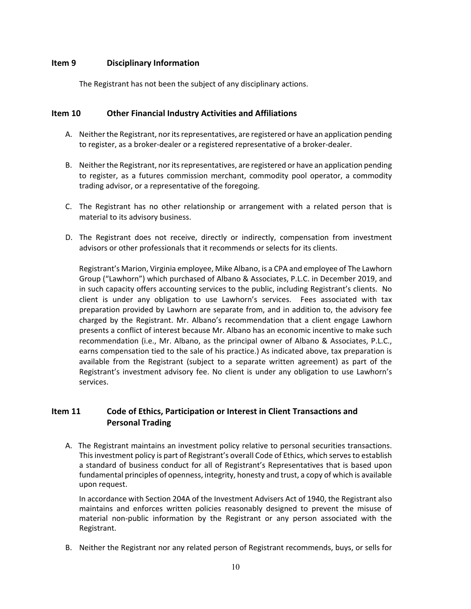# **Item 9 Disciplinary Information**

The Registrant has not been the subject of any disciplinary actions.

# **Item 10 Other Financial Industry Activities and Affiliations**

- A. Neither the Registrant, nor its representatives, are registered or have an application pending to register, as a broker‐dealer or a registered representative of a broker‐dealer.
- B. Neither the Registrant, nor its representatives, are registered or have an application pending to register, as a futures commission merchant, commodity pool operator, a commodity trading advisor, or a representative of the foregoing.
- C. The Registrant has no other relationship or arrangement with a related person that is material to its advisory business.
- D. The Registrant does not receive, directly or indirectly, compensation from investment advisors or other professionals that it recommends or selects for its clients.

Registrant's Marion, Virginia employee, Mike Albano, is a CPA and employee of The Lawhorn Group ("Lawhorn") which purchased of Albano & Associates, P.L.C. in December 2019, and in such capacity offers accounting services to the public, including Registrant's clients. No client is under any obligation to use Lawhorn's services. Fees associated with tax preparation provided by Lawhorn are separate from, and in addition to, the advisory fee charged by the Registrant. Mr. Albano's recommendation that a client engage Lawhorn presents a conflict of interest because Mr. Albano has an economic incentive to make such recommendation (i.e., Mr. Albano, as the principal owner of Albano & Associates, P.L.C., earns compensation tied to the sale of his practice.) As indicated above, tax preparation is available from the Registrant (subject to a separate written agreement) as part of the Registrant's investment advisory fee. No client is under any obligation to use Lawhorn's services.

# **Item 11 Code of Ethics, Participation or Interest in Client Transactions and Personal Trading**

A. The Registrant maintains an investment policy relative to personal securities transactions. Thisinvestment policy is part of Registrant's overall Code of Ethics, which servesto establish a standard of business conduct for all of Registrant's Representatives that is based upon fundamental principles of openness, integrity, honesty and trust, a copy of which is available upon request.

In accordance with Section 204A of the Investment Advisers Act of 1940, the Registrant also maintains and enforces written policies reasonably designed to prevent the misuse of material non-public information by the Registrant or any person associated with the Registrant.

B. Neither the Registrant nor any related person of Registrant recommends, buys, or sells for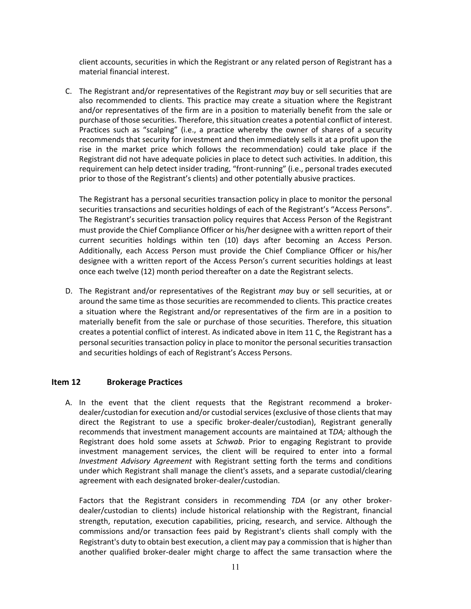client accounts, securities in which the Registrant or any related person of Registrant has a material financial interest.

C. The Registrant and/or representatives of the Registrant *may* buy or sell securities that are also recommended to clients. This practice may create a situation where the Registrant and/or representatives of the firm are in a position to materially benefit from the sale or purchase of those securities. Therefore, this situation creates a potential conflict of interest. Practices such as "scalping" (i.e., a practice whereby the owner of shares of a security recommends that security for investment and then immediately sells it at a profit upon the rise in the market price which follows the recommendation) could take place if the Registrant did not have adequate policies in place to detect such activities. In addition, this requirement can help detect insider trading, "front-running" (i.e., personal trades executed prior to those of the Registrant's clients) and other potentially abusive practices.

The Registrant has a personal securities transaction policy in place to monitor the personal securities transactions and securities holdings of each of the Registrant's "Access Persons". The Registrant's securities transaction policy requires that Access Person of the Registrant must provide the Chief Compliance Officer or his/her designee with a written report of their current securities holdings within ten (10) days after becoming an Access Person. Additionally, each Access Person must provide the Chief Compliance Officer or his/her designee with a written report of the Access Person's current securities holdings at least once each twelve (12) month period thereafter on a date the Registrant selects.

D. The Registrant and/or representatives of the Registrant *may* buy or sell securities, at or around the same time as those securities are recommended to clients. This practice creates a situation where the Registrant and/or representatives of the firm are in a position to materially benefit from the sale or purchase of those securities. Therefore, this situation creates a potential conflict of interest. As indicated above in Item 11 C, the Registrant has a personal securities transaction policy in place to monitor the personal securities transaction and securities holdings of each of Registrant's Access Persons.

#### **Item 12 Brokerage Practices**

A. In the event that the client requests that the Registrant recommend a broker‐ dealer/custodian for execution and/or custodial services (exclusive of those clients that may direct the Registrant to use a specific broker‐dealer/custodian), Registrant generally recommends that investment management accounts are maintained at T*DA;* although the Registrant does hold some assets at *Schwab*. Prior to engaging Registrant to provide investment management services, the client will be required to enter into a formal *Investment Advisory Agreement* with Registrant setting forth the terms and conditions under which Registrant shall manage the client's assets, and a separate custodial/clearing agreement with each designated broker‐dealer/custodian.

Factors that the Registrant considers in recommending *TDA* (or any other broker‐ dealer/custodian to clients) include historical relationship with the Registrant, financial strength, reputation, execution capabilities, pricing, research, and service. Although the commissions and/or transaction fees paid by Registrant's clients shall comply with the Registrant's duty to obtain best execution, a client may pay a commission that is higher than another qualified broker‐dealer might charge to affect the same transaction where the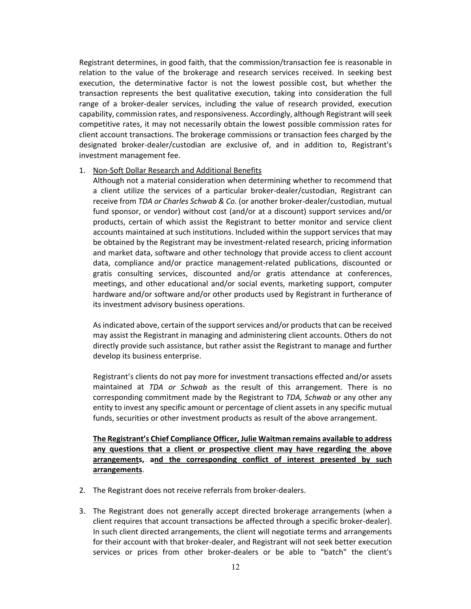Registrant determines, in good faith, that the commission/transaction fee is reasonable in relation to the value of the brokerage and research services received. In seeking best execution, the determinative factor is not the lowest possible cost, but whether the transaction represents the best qualitative execution, taking into consideration the full range of a broker‐dealer services, including the value of research provided, execution capability, commission rates, and responsiveness. Accordingly, although Registrant will seek competitive rates, it may not necessarily obtain the lowest possible commission rates for client account transactions. The brokerage commissions or transaction fees charged by the designated broker‐dealer/custodian are exclusive of, and in addition to, Registrant's investment management fee.

#### 1. Non‐Soft Dollar Research and Additional Benefits

Although not a material consideration when determining whether to recommend that a client utilize the services of a particular broker‐dealer/custodian, Registrant can receive from *TDA or Charles Schwab & Co.* (or another broker‐dealer/custodian, mutual fund sponsor, or vendor) without cost (and/or at a discount) support services and/or products, certain of which assist the Registrant to better monitor and service client accounts maintained at such institutions. Included within the support services that may be obtained by the Registrant may be investment‐related research, pricing information and market data, software and other technology that provide access to client account data, compliance and/or practice management‐related publications, discounted or gratis consulting services, discounted and/or gratis attendance at conferences, meetings, and other educational and/or social events, marketing support, computer hardware and/or software and/or other products used by Registrant in furtherance of its investment advisory business operations.

As indicated above, certain of the support services and/or products that can be received may assist the Registrant in managing and administering client accounts. Others do not directly provide such assistance, but rather assist the Registrant to manage and further develop its business enterprise.

Registrant's clients do not pay more for investment transactions effected and/or assets maintained at *TDA or Schwab* as the result of this arrangement. There is no corresponding commitment made by the Registrant to *TDA, Schwab* or any other any entity to invest any specific amount or percentage of client assets in any specific mutual funds, securities or other investment products as result of the above arrangement.

**The Registrant's Chief Compliance Officer, Julie Waitman remains available to address any questions that a client or prospective client may have regarding the above arrangements, and the corresponding conflict of interest presented by such arrangements**.

- 2. The Registrant does not receive referrals from broker-dealers.
- 3. The Registrant does not generally accept directed brokerage arrangements (when a client requires that account transactions be affected through a specific broker‐dealer). In such client directed arrangements, the client will negotiate terms and arrangements for their account with that broker-dealer, and Registrant will not seek better execution services or prices from other broker-dealers or be able to "batch" the client's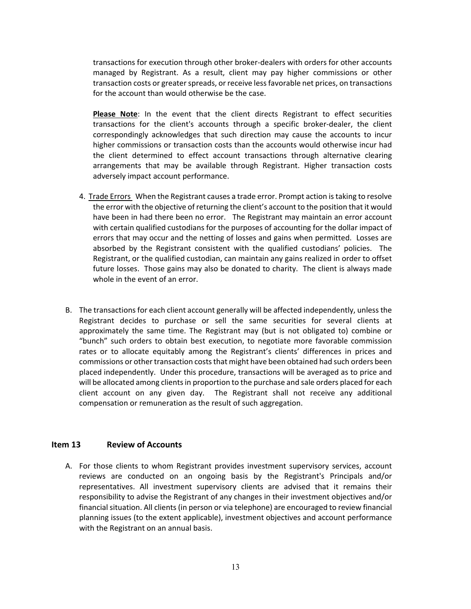transactions for execution through other broker‐dealers with orders for other accounts managed by Registrant. As a result, client may pay higher commissions or other transaction costs or greater spreads, or receive less favorable net prices, on transactions for the account than would otherwise be the case.

**Please Note**: In the event that the client directs Registrant to effect securities transactions for the client's accounts through a specific broker‐dealer, the client correspondingly acknowledges that such direction may cause the accounts to incur higher commissions or transaction costs than the accounts would otherwise incur had the client determined to effect account transactions through alternative clearing arrangements that may be available through Registrant. Higher transaction costs adversely impact account performance.

- 4. Trade Errors When the Registrant causes a trade error. Prompt action istaking to resolve the error with the objective of returning the client's account to the position that it would have been in had there been no error. The Registrant may maintain an error account with certain qualified custodians for the purposes of accounting for the dollar impact of errors that may occur and the netting of losses and gains when permitted. Losses are absorbed by the Registrant consistent with the qualified custodians' policies. The Registrant, or the qualified custodian, can maintain any gains realized in order to offset future losses. Those gains may also be donated to charity. The client is always made whole in the event of an error.
- B. The transactions for each client account generally will be affected independently, unless the Registrant decides to purchase or sell the same securities for several clients at approximately the same time. The Registrant may (but is not obligated to) combine or "bunch" such orders to obtain best execution, to negotiate more favorable commission rates or to allocate equitably among the Registrant's clients' differences in prices and commissions or other transaction costs that might have been obtained had such orders been placed independently. Under this procedure, transactions will be averaged as to price and will be allocated among clients in proportion to the purchase and sale orders placed for each client account on any given day. The Registrant shall not receive any additional compensation or remuneration as the result of such aggregation.

# **Item 13 Review of Accounts**

A. For those clients to whom Registrant provides investment supervisory services, account reviews are conducted on an ongoing basis by the Registrant's Principals and/or representatives. All investment supervisory clients are advised that it remains their responsibility to advise the Registrant of any changes in their investment objectives and/or financial situation. All clients (in person or via telephone) are encouraged to review financial planning issues (to the extent applicable), investment objectives and account performance with the Registrant on an annual basis.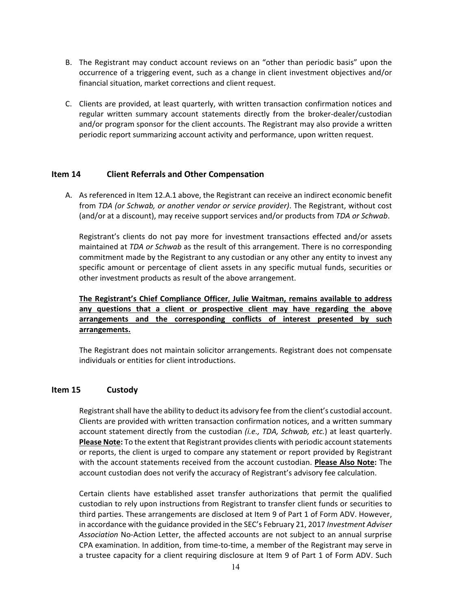- B. The Registrant may conduct account reviews on an "other than periodic basis" upon the occurrence of a triggering event, such as a change in client investment objectives and/or financial situation, market corrections and client request.
- C. Clients are provided, at least quarterly, with written transaction confirmation notices and regular written summary account statements directly from the broker‐dealer/custodian and/or program sponsor for the client accounts. The Registrant may also provide a written periodic report summarizing account activity and performance, upon written request.

# **Item 14 Client Referrals and Other Compensation**

A. As referenced in Item 12.A.1 above, the Registrant can receive an indirect economic benefit from *TDA (or Schwab, or another vendor or service provider)*. The Registrant, without cost (and/or at a discount), may receive support services and/or products from *TDA or Schwab*.

Registrant's clients do not pay more for investment transactions effected and/or assets maintained at *TDA or Schwab* as the result of this arrangement. There is no corresponding commitment made by the Registrant to any custodian or any other any entity to invest any specific amount or percentage of client assets in any specific mutual funds, securities or other investment products as result of the above arrangement.

**The Registrant's Chief Compliance Officer**, **Julie Waitman, remains available to address any questions that a client or prospective client may have regarding the above arrangements and the corresponding conflicts of interest presented by such arrangements.**

The Registrant does not maintain solicitor arrangements. Registrant does not compensate individuals or entities for client introductions.

#### **Item 15 Custody**

Registrant shall have the ability to deduct its advisory fee from the client's custodial account. Clients are provided with written transaction confirmation notices, and a written summary account statement directly from the custodian *(i.e., TDA, Schwab, etc.*) at least quarterly. **Please Note:** To the extent that Registrant provides clients with periodic account statements or reports, the client is urged to compare any statement or report provided by Registrant with the account statements received from the account custodian. **Please Also Note:** The account custodian does not verify the accuracy of Registrant's advisory fee calculation.

Certain clients have established asset transfer authorizations that permit the qualified custodian to rely upon instructions from Registrant to transfer client funds or securities to third parties. These arrangements are disclosed at Item 9 of Part 1 of Form ADV. However, in accordance with the guidance provided in the SEC's February 21, 2017 *Investment Adviser Association* No‐Action Letter, the affected accounts are not subject to an annual surprise CPA examination. In addition, from time‐to‐time, a member of the Registrant may serve in a trustee capacity for a client requiring disclosure at Item 9 of Part 1 of Form ADV. Such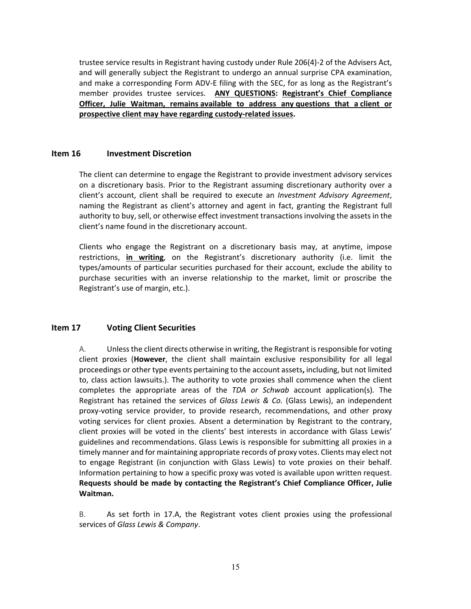trustee service results in Registrant having custody under Rule 206(4)‐2 of the Advisers Act, and will generally subject the Registrant to undergo an annual surprise CPA examination, and make a corresponding Form ADV‐E filing with the SEC, for as long as the Registrant's member provides trustee services. **ANY QUESTIONS: Registrant's Chief Compliance Officer, Julie Waitman, remains available to address any questions that a client or prospective client may have regarding custody‐related issues.**

## **Item 16 Investment Discretion**

The client can determine to engage the Registrant to provide investment advisory services on a discretionary basis. Prior to the Registrant assuming discretionary authority over a client's account, client shall be required to execute an *Investment Advisory Agreement*, naming the Registrant as client's attorney and agent in fact, granting the Registrant full authority to buy, sell, or otherwise effect investment transactions involving the assets in the client's name found in the discretionary account.

Clients who engage the Registrant on a discretionary basis may, at anytime, impose restrictions, **in writing**, on the Registrant's discretionary authority (i.e. limit the types/amounts of particular securities purchased for their account, exclude the ability to purchase securities with an inverse relationship to the market, limit or proscribe the Registrant's use of margin, etc.).

# **Item 17 Voting Client Securities**

A. Unlessthe client directs otherwise in writing, the Registrant isresponsible for voting client proxies (**However**, the client shall maintain exclusive responsibility for all legal proceedings or other type events pertaining to the account assets**,** including, but not limited to, class action lawsuits.). The authority to vote proxies shall commence when the client completes the appropriate areas of the *TDA or Schwab* account application(s)*.* The Registrant has retained the services of *Glass Lewis & Co.* (Glass Lewis), an independent proxy‐voting service provider, to provide research, recommendations, and other proxy voting services for client proxies. Absent a determination by Registrant to the contrary, client proxies will be voted in the clients' best interests in accordance with Glass Lewis' guidelines and recommendations. Glass Lewis is responsible for submitting all proxies in a timely manner and for maintaining appropriate records of proxy votes. Clients may elect not to engage Registrant (in conjunction with Glass Lewis) to vote proxies on their behalf. Information pertaining to how a specific proxy was voted is available upon written request. **Requests should be made by contacting the Registrant's Chief Compliance Officer, Julie Waitman.**

B. As set forth in 17.A, the Registrant votes client proxies using the professional services of *Glass Lewis & Company*.